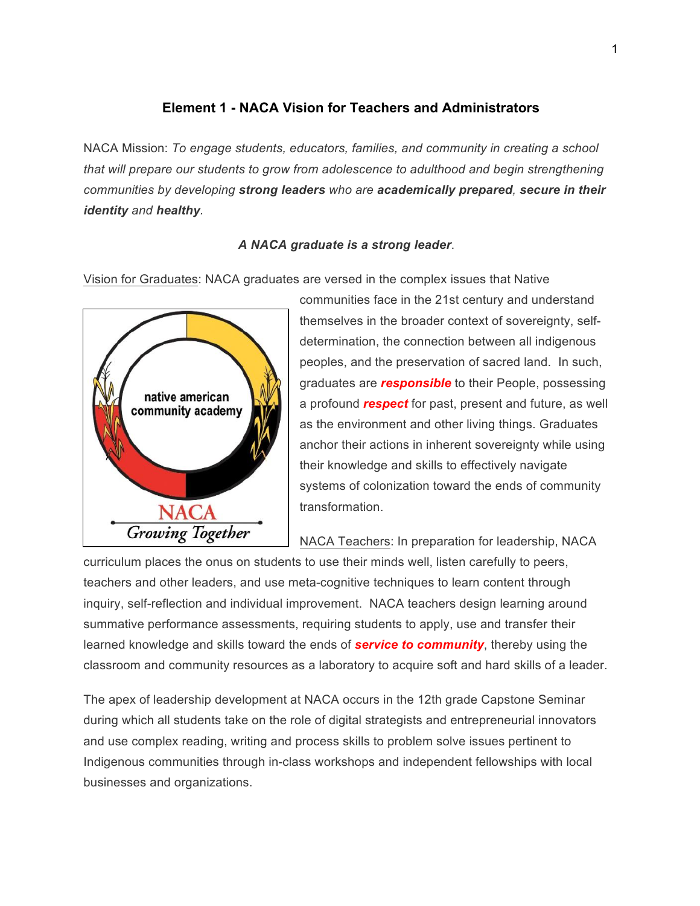# **Element 1 - NACA Vision for Teachers and Administrators**

NACA Mission: *To engage students, educators, families, and community in creating a school that will prepare our students to grow from adolescence to adulthood and begin strengthening communities by developing strong leaders who are academically prepared, secure in their identity and healthy.*

## *A NACA graduate is a strong leader*.

Vision for Graduates: NACA graduates are versed in the complex issues that Native



communities face in the 21st century and understand themselves in the broader context of sovereignty, selfdetermination, the connection between all indigenous peoples, and the preservation of sacred land. In such, graduates are *responsible* to their People, possessing a profound *respect* for past, present and future, as well as the environment and other living things. Graduates anchor their actions in inherent sovereignty while using their knowledge and skills to effectively navigate systems of colonization toward the ends of community transformation.

NACA Teachers: In preparation for leadership, NACA

curriculum places the onus on students to use their minds well, listen carefully to peers, teachers and other leaders, and use meta-cognitive techniques to learn content through inquiry, self-reflection and individual improvement. NACA teachers design learning around summative performance assessments, requiring students to apply, use and transfer their learned knowledge and skills toward the ends of *service to community*, thereby using the classroom and community resources as a laboratory to acquire soft and hard skills of a leader.

The apex of leadership development at NACA occurs in the 12th grade Capstone Seminar during which all students take on the role of digital strategists and entrepreneurial innovators and use complex reading, writing and process skills to problem solve issues pertinent to Indigenous communities through in-class workshops and independent fellowships with local businesses and organizations.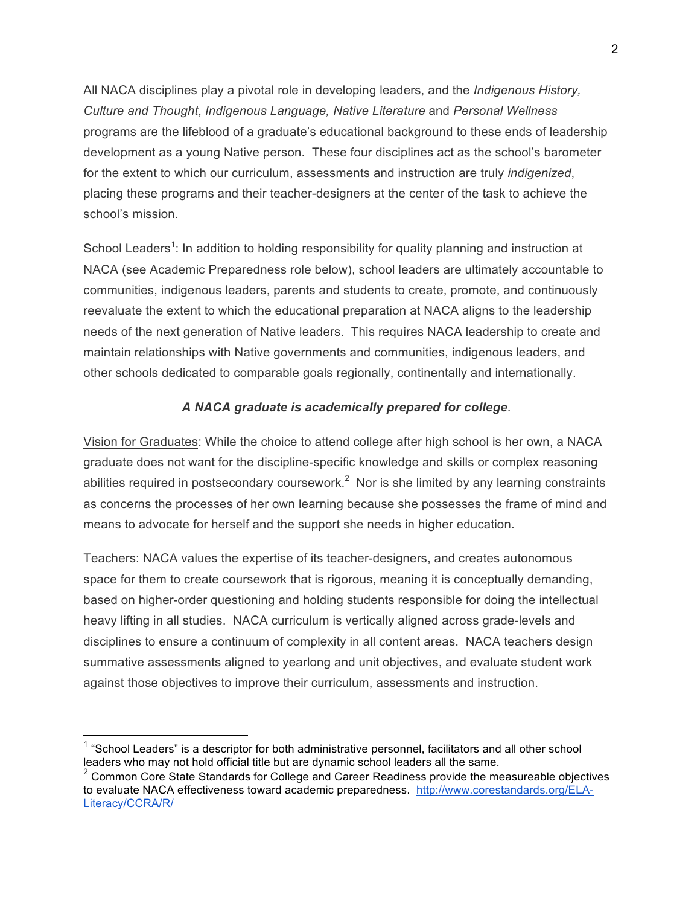All NACA disciplines play a pivotal role in developing leaders, and the *Indigenous History, Culture and Thought*, *Indigenous Language, Native Literature* and *Personal Wellness* programs are the lifeblood of a graduate's educational background to these ends of leadership development as a young Native person. These four disciplines act as the school's barometer for the extent to which our curriculum, assessments and instruction are truly *indigenized*, placing these programs and their teacher-designers at the center of the task to achieve the school's mission.

School Leaders<sup>1</sup>: In addition to holding responsibility for quality planning and instruction at NACA (see Academic Preparedness role below), school leaders are ultimately accountable to communities, indigenous leaders, parents and students to create, promote, and continuously reevaluate the extent to which the educational preparation at NACA aligns to the leadership needs of the next generation of Native leaders. This requires NACA leadership to create and maintain relationships with Native governments and communities, indigenous leaders, and other schools dedicated to comparable goals regionally, continentally and internationally.

## *A NACA graduate is academically prepared for college*.

Vision for Graduates: While the choice to attend college after high school is her own, a NACA graduate does not want for the discipline-specific knowledge and skills or complex reasoning abilities required in postsecondary coursework. $2$  Nor is she limited by any learning constraints as concerns the processes of her own learning because she possesses the frame of mind and means to advocate for herself and the support she needs in higher education.

Teachers: NACA values the expertise of its teacher-designers, and creates autonomous space for them to create coursework that is rigorous, meaning it is conceptually demanding, based on higher-order questioning and holding students responsible for doing the intellectual heavy lifting in all studies. NACA curriculum is vertically aligned across grade-levels and disciplines to ensure a continuum of complexity in all content areas. NACA teachers design summative assessments aligned to yearlong and unit objectives, and evaluate student work against those objectives to improve their curriculum, assessments and instruction.

 $1$  "School Leaders" is a descriptor for both administrative personnel, facilitators and all other school leaders who may not hold official title but are dynamic school leaders all the same.

 $2$  Common Core State Standards for College and Career Readiness provide the measureable objectives to evaluate NACA effectiveness toward academic preparedness. http://www.corestandards.org/ELA-Literacy/CCRA/R/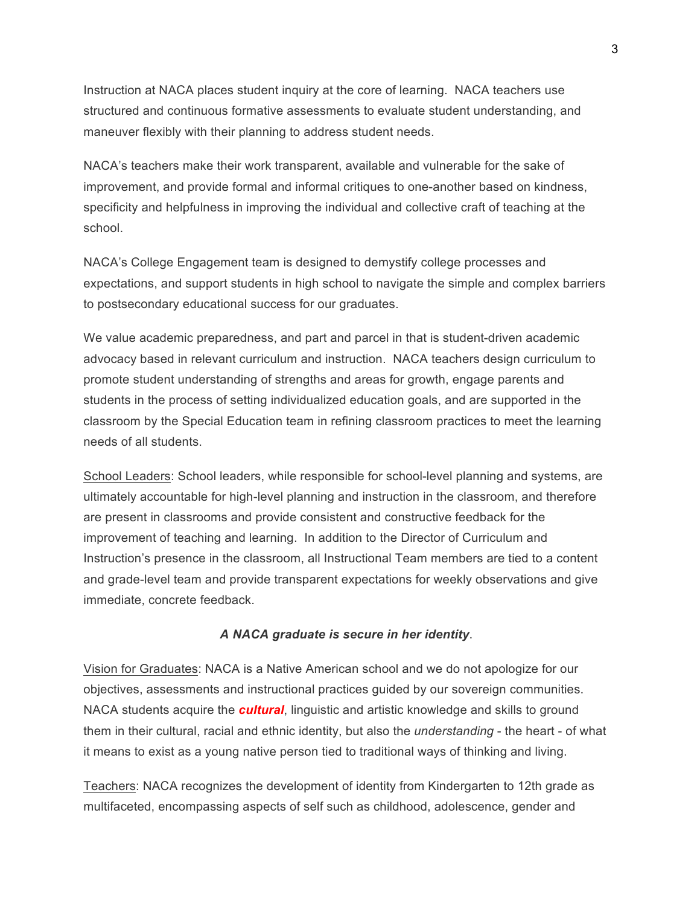Instruction at NACA places student inquiry at the core of learning. NACA teachers use structured and continuous formative assessments to evaluate student understanding, and maneuver flexibly with their planning to address student needs.

NACA's teachers make their work transparent, available and vulnerable for the sake of improvement, and provide formal and informal critiques to one-another based on kindness, specificity and helpfulness in improving the individual and collective craft of teaching at the school.

NACA's College Engagement team is designed to demystify college processes and expectations, and support students in high school to navigate the simple and complex barriers to postsecondary educational success for our graduates.

We value academic preparedness, and part and parcel in that is student-driven academic advocacy based in relevant curriculum and instruction. NACA teachers design curriculum to promote student understanding of strengths and areas for growth, engage parents and students in the process of setting individualized education goals, and are supported in the classroom by the Special Education team in refining classroom practices to meet the learning needs of all students.

School Leaders: School leaders, while responsible for school-level planning and systems, are ultimately accountable for high-level planning and instruction in the classroom, and therefore are present in classrooms and provide consistent and constructive feedback for the improvement of teaching and learning. In addition to the Director of Curriculum and Instruction's presence in the classroom, all Instructional Team members are tied to a content and grade-level team and provide transparent expectations for weekly observations and give immediate, concrete feedback.

### *A NACA graduate is secure in her identity*.

Vision for Graduates: NACA is a Native American school and we do not apologize for our objectives, assessments and instructional practices guided by our sovereign communities. NACA students acquire the *cultural*, linguistic and artistic knowledge and skills to ground them in their cultural, racial and ethnic identity, but also the *understanding* - the heart - of what it means to exist as a young native person tied to traditional ways of thinking and living.

Teachers: NACA recognizes the development of identity from Kindergarten to 12th grade as multifaceted, encompassing aspects of self such as childhood, adolescence, gender and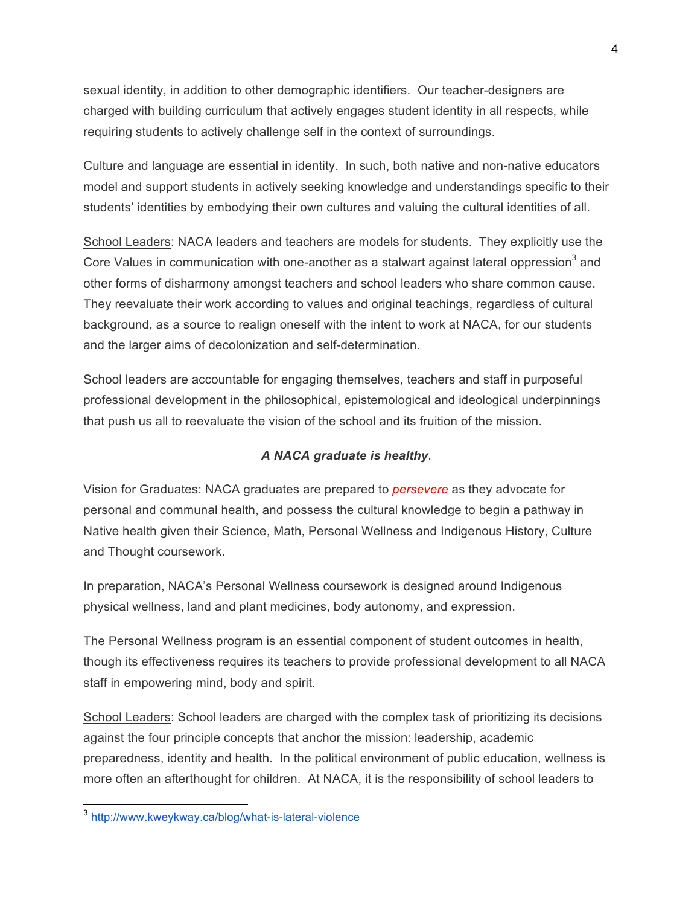sexual identity, in addition to other demographic identifiers. Our teacher-designers are charged with building curriculum that actively engages student identity in all respects, while requiring students to actively challenge self in the context of surroundings.

Culture and language are essential in identity. In such, both native and non-native educators model and support students in actively seeking knowledge and understandings specific to their students' identities by embodying their own cultures and valuing the cultural identities of all.

School Leaders: NACA leaders and teachers are models for students. They explicitly use the Core Values in communication with one-another as a stalwart against lateral oppression<sup>3</sup> and other forms of disharmony amongst teachers and school leaders who share common cause. They reevaluate their work according to values and original teachings, regardless of cultural background, as a source to realign oneself with the intent to work at NACA, for our students and the larger aims of decolonization and self-determination.

School leaders are accountable for engaging themselves, teachers and staff in purposeful professional development in the philosophical, epistemological and ideological underpinnings that push us all to reevaluate the vision of the school and its fruition of the mission.

## *A NACA graduate is healthy*.

Vision for Graduates: NACA graduates are prepared to *persevere* as they advocate for personal and communal health, and possess the cultural knowledge to begin a pathway in Native health given their Science, Math, Personal Wellness and Indigenous History, Culture and Thought coursework.

In preparation, NACA's Personal Wellness coursework is designed around Indigenous physical wellness, land and plant medicines, body autonomy, and expression.

The Personal Wellness program is an essential component of student outcomes in health, though its effectiveness requires its teachers to provide professional development to all NACA staff in empowering mind, body and spirit.

School Leaders: School leaders are charged with the complex task of prioritizing its decisions against the four principle concepts that anchor the mission: leadership, academic preparedness, identity and health. In the political environment of public education, wellness is more often an afterthought for children. At NACA, it is the responsibility of school leaders to

 <sup>3</sup> http://www.kweykway.ca/blog/what-is-lateral-violence